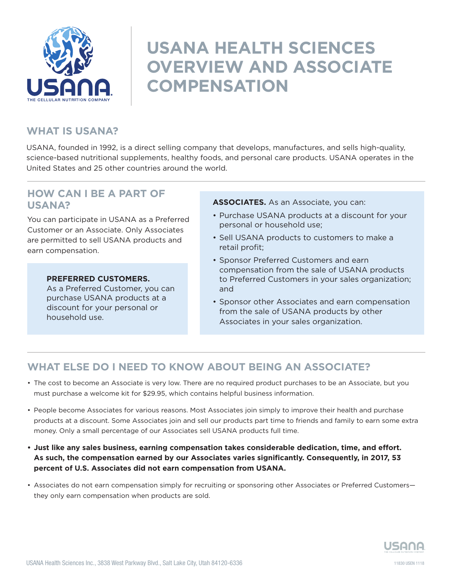

# **USANA HEALTH SCIENCES OVERVIEW AND ASSOCIATE COMPENSATION**

# **WHAT IS USANA?**

USANA, founded in 1992, is a direct selling company that develops, manufactures, and sells high-quality, science-based nutritional supplements, healthy foods, and personal care products. USANA operates in the United States and 25 other countries around the world.

## **HOW CAN I BE A PART OF USANA?**

You can participate in USANA as a Preferred Customer or an Associate. Only Associates are permitted to sell USANA products and earn compensation.

#### **PREFERRED CUSTOMERS.**

As a Preferred Customer, you can purchase USANA products at a discount for your personal or household use.

#### **ASSOCIATES.** As an Associate, you can:

- Purchase USANA products at a discount for your personal or household use;
- Sell USANA products to customers to make a retail profit;
- Sponsor Preferred Customers and earn compensation from the sale of USANA products to Preferred Customers in your sales organization; and
- Sponsor other Associates and earn compensation from the sale of USANA products by other Associates in your sales organization.

# **WHAT ELSE DO I NEED TO KNOW ABOUT BEING AN ASSOCIATE?**

- The cost to become an Associate is very low. There are no required product purchases to be an Associate, but you must purchase a welcome kit for \$29.95, which contains helpful business information.
- People become Associates for various reasons. Most Associates join simply to improve their health and purchase products at a discount. Some Associates join and sell our products part time to friends and family to earn some extra money. Only a small percentage of our Associates sell USANA products full time.
- **• Just like any sales business, earning compensation takes considerable dedication, time, and effort. As such, the compensation earned by our Associates varies significantly. Consequently, in 2017, 53 percent of U.S. Associates did not earn compensation from USANA.**
- Associates do not earn compensation simply for recruiting or sponsoring other Associates or Preferred Customers they only earn compensation when products are sold.